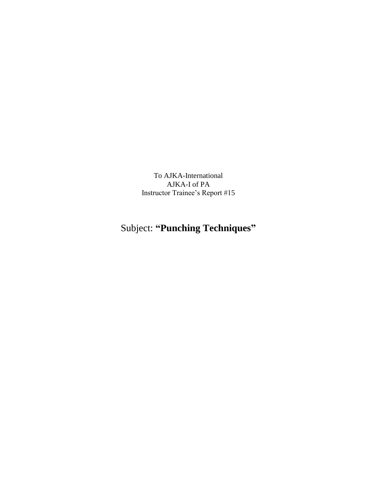To AJKA-International AJKA-I of PA Instructor Trainee's Report #15

## Subject: **"Punching Techniques"**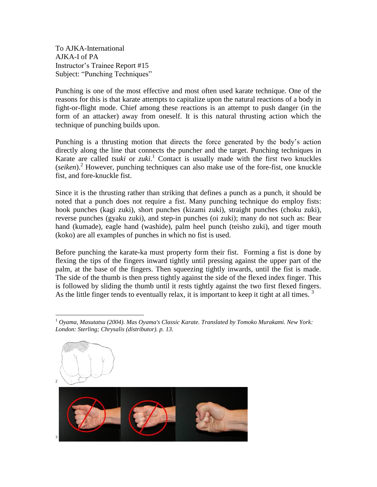To AJKA-International AJKA-I of PA Instructor's Trainee Report #15 Subject: "Punching Techniques"

Punching is one of the most effective and most often used karate technique. One of the reasons for this is that karate attempts to capitalize upon the natural reactions of a body in fight-or-flight mode. Chief among these reactions is an attempt to push danger (in the form of an attacker) away from oneself. It is this natural thrusting action which the technique of punching builds upon.

Punching is a thrusting motion that directs the force generated by the body's action directly along the line that connects the puncher and the target. Punching techniques in Karate are called *tsuki* or *zuki*. <sup>1</sup> Contact is usually made with the first two knuckles (*seiken*).<sup>2</sup> However, punching techniques can also make use of the fore-fist, one knuckle fist, and fore-knuckle fist.

Since it is the thrusting rather than striking that defines a punch as a punch, it should be noted that a punch does not require a fist. Many punching technique do employ fists: hook punches (kagi zuki), short punches (kizami zuki), straight punches (choku zuki), reverse punches (gyaku zuki), and step-in punches (oi zuki); many do not such as: Bear hand (kumade), eagle hand (washide), palm heel punch (teisho zuki), and tiger mouth (koko) are all examples of punches in which no fist is used.

Before punching the karate-ka must property form their fist. Forming a fist is done by flexing the tips of the fingers inward tightly until pressing against the upper part of the palm, at the base of the fingers. Then squeezing tightly inwards, until the fist is made. The side of the thumb is then press tightly against the side of the flexed index finger. This is followed by sliding the thumb until it rests tightly against the two first flexed fingers. As the little finger tends to eventually relax, it is important to keep it tight at all times.  $3$ 

 $\overline{a}$ <sup>1</sup> *Oyama, Masutatsu (2004). Mas Oyama's Classic Karate. Translated by Tomoko Murakami. New York: London: Sterling; Chrysalis (distributor). p. 13.*

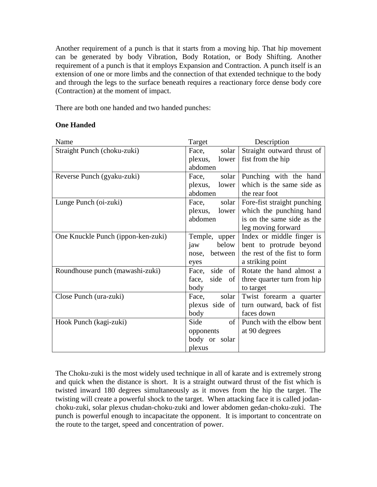Another requirement of a punch is that it starts from a moving hip. That hip movement can be generated by body Vibration, Body Rotation, or Body Shifting. Another requirement of a punch is that it employs Expansion and Contraction. A punch itself is an extension of one or more limbs and the connection of that extended technique to the body and through the legs to the surface beneath requires a reactionary force dense body core (Contraction) at the moment of impact.

There are both one handed and two handed punches:

## **One Handed**

| Name                               | Target             | Description                            |
|------------------------------------|--------------------|----------------------------------------|
| Straight Punch (choku-zuki)        | Face, solar        | Straight outward thrust of             |
|                                    | plexus, lower      | fist from the hip                      |
|                                    | abdomen            |                                        |
| Reverse Punch (gyaku-zuki)         | solar<br>Face,     | Punching with the hand                 |
|                                    | plexus, lower      | which is the same side as              |
|                                    | abdomen            | the rear foot                          |
| Lunge Punch (oi-zuki)              | Face, solar        | Fore-fist straight punching            |
|                                    | plexus, lower      | which the punching hand                |
|                                    | abdomen            | is on the same side as the             |
|                                    |                    | leg moving forward                     |
| One Knuckle Punch (ippon-ken-zuki) | Temple, upper      | Index or middle finger is              |
|                                    | below<br>jaw       | bent to protrude beyond                |
|                                    | nose, between      | the rest of the fist to form           |
|                                    | eyes               | a striking point                       |
| Roundhouse punch (mawashi-zuki)    |                    | Face, side of Rotate the hand almost a |
|                                    | face, side<br>of   | three quarter turn from hip            |
|                                    | body               | to target                              |
| Close Punch (ura-zuki)             | Face, solar        | Twist forearm a quarter                |
|                                    | plexus side of     | turn outward, back of fist             |
|                                    | body               | faces down                             |
| Hook Punch (kagi-zuki)             | $\sigma$ f<br>Side | Punch with the elbow bent              |
|                                    | opponents          | at 90 degrees                          |
|                                    | body or solar      |                                        |
|                                    | plexus             |                                        |

The Choku-zuki is the most widely used technique in all of karate and is extremely strong and quick when the distance is short. It is a straight outward thrust of the fist which is twisted inward 180 degrees simultaneously as it moves from the hip the target. The twisting will create a powerful shock to the target. When attacking face it is called jodanchoku-zuki, solar plexus chudan-choku-zuki and lower abdomen gedan-choku-zuki. The punch is powerful enough to incapacitate the opponent. It is important to concentrate on the route to the target, speed and concentration of power.